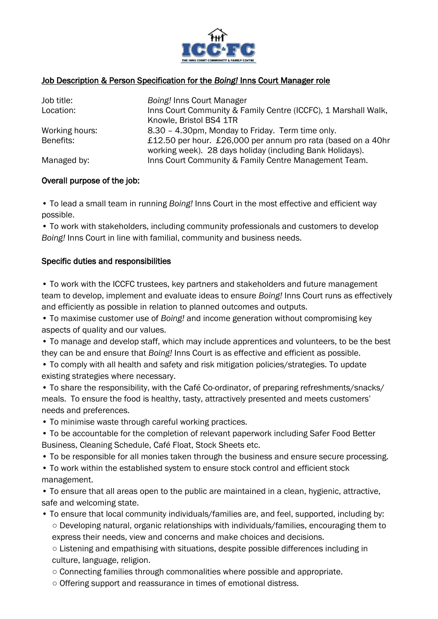

### Job Description & Person Specification for the *Boing!* Inns Court Manager role

| Job title:     | Boing! Inns Court Manager                                      |  |  |
|----------------|----------------------------------------------------------------|--|--|
| Location:      | Inns Court Community & Family Centre (ICCFC), 1 Marshall Walk, |  |  |
|                | Knowle, Bristol BS4 1TR                                        |  |  |
| Working hours: | 8.30 - 4.30pm, Monday to Friday. Term time only.               |  |  |
| Benefits:      | £12.50 per hour. £26,000 per annum pro rata (based on a 40hr   |  |  |
|                | working week). 28 days holiday (including Bank Holidays).      |  |  |
| Managed by:    | Inns Court Community & Family Centre Management Team.          |  |  |

#### Overall purpose of the job:

• To lead a small team in running *Boing!* Inns Court in the most effective and efficient way possible.

• To work with stakeholders, including community professionals and customers to develop *Boing!* Inns Court in line with familial, community and business needs.

#### Specific duties and responsibilities

• To work with the ICCFC trustees, key partners and stakeholders and future management team to develop, implement and evaluate ideas to ensure *Boing!* Inns Court runs as effectively and efficiently as possible in relation to planned outcomes and outputs.

• To maximise customer use of *Boing!* and income generation without compromising key aspects of quality and our values.

• To manage and develop staff, which may include apprentices and volunteers, to be the best they can be and ensure that *Boing!* Inns Court is as effective and efficient as possible.

• To comply with all health and safety and risk mitigation policies/strategies. To update existing strategies where necessary.

• To share the responsibility, with the Café Co-ordinator, of preparing refreshments/snacks/ meals. To ensure the food is healthy, tasty, attractively presented and meets customers' needs and preferences.

• To minimise waste through careful working practices.

• To be accountable for the completion of relevant paperwork including Safer Food Better Business, Cleaning Schedule, Café Float, Stock Sheets etc.

• To be responsible for all monies taken through the business and ensure secure processing.

• To work within the established system to ensure stock control and efficient stock management.

• To ensure that all areas open to the public are maintained in a clean, hygienic, attractive, safe and welcoming state.

• To ensure that local community individuals/families are, and feel, supported, including by: ○ Developing natural, organic relationships with individuals/families, encouraging them to express their needs, view and concerns and make choices and decisions.

○ Listening and empathising with situations, despite possible differences including in culture, language, religion.

○ Connecting families through commonalities where possible and appropriate.

○ Offering support and reassurance in times of emotional distress.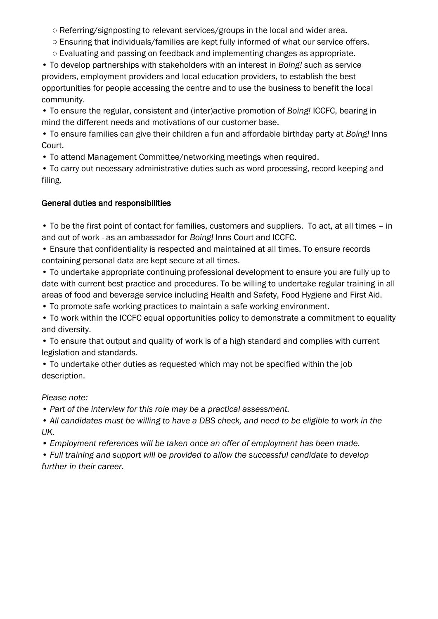○ Referring/signposting to relevant services/groups in the local and wider area.

- Ensuring that individuals/families are kept fully informed of what our service offers.
- Evaluating and passing on feedback and implementing changes as appropriate.

• To develop partnerships with stakeholders with an interest in *Boing!* such as service providers, employment providers and local education providers, to establish the best opportunities for people accessing the centre and to use the business to benefit the local community.

• To ensure the regular, consistent and (inter)active promotion of *Boing!* ICCFC, bearing in mind the different needs and motivations of our customer base.

• To ensure families can give their children a fun and affordable birthday party at *Boing!* Inns Court.

• To attend Management Committee/networking meetings when required.

• To carry out necessary administrative duties such as word processing, record keeping and filing.

# General duties and responsibilities

• To be the first point of contact for families, customers and suppliers. To act, at all times – in and out of work - as an ambassador for *Boing!* Inns Court and ICCFC.

• Ensure that confidentiality is respected and maintained at all times. To ensure records containing personal data are kept secure at all times.

• To undertake appropriate continuing professional development to ensure you are fully up to date with current best practice and procedures. To be willing to undertake regular training in all areas of food and beverage service including Health and Safety, Food Hygiene and First Aid.

• To promote safe working practices to maintain a safe working environment.

• To work within the ICCFC equal opportunities policy to demonstrate a commitment to equality and diversity.

• To ensure that output and quality of work is of a high standard and complies with current legislation and standards.

• To undertake other duties as requested which may not be specified within the job description.

*Please note:*

*• Part of the interview for this role may be a practical assessment.*

*• All candidates must be willing to have a DBS check, and need to be eligible to work in the UK.* 

*• Employment references will be taken once an offer of employment has been made.* 

*• Full training and support will be provided to allow the successful candidate to develop further in their career.*